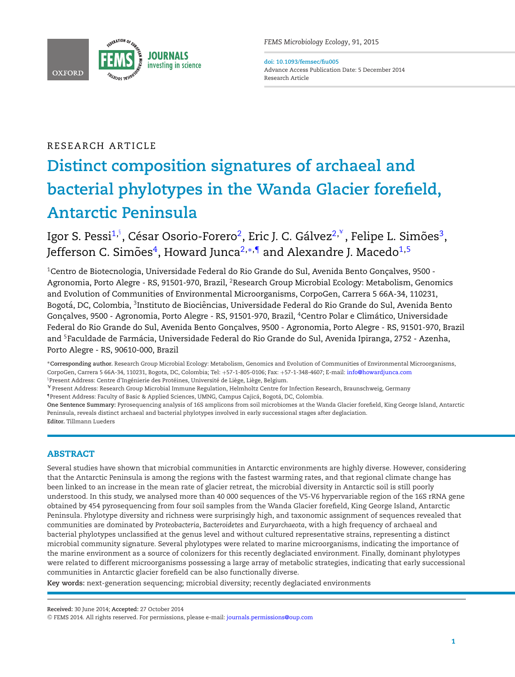

**doi: 10.1093/femsec/fiu005** Advance Access Publication Date: 5 December 2014 Research Article

# RESEARCH ARTICLE

# **Distinct composition signatures of archaeal and bacterial phylotypes in the Wanda Glacier forefield, Antarctic Peninsula**

Igor S. Pessi<sup>[1,](#page-0-0)</sup>", César Osorio-Forero<sup>2</sup>, Eric J. C. Gálvez<sup>[2,](#page-0-2)\*</sup>, Felipe L. Simões<sup>3</sup>, Jefferson C. Simões<sup>4</sup>, Howard Junca<sup>2,\*,[¶](#page-0-7)</sup> and Alexandre J. Macedo<sup>[1,](#page-0-0)[5](#page-0-8)</sup>

<span id="page-0-4"></span><span id="page-0-2"></span><span id="page-0-0"></span> $1$ Centro de Biotecnologia, Universidade Federal do Rio Grande do Sul, Avenida Bento Goncalves, 9500 -Agronomia, Porto Alegre - RS, 91501-970, Brazil, 2Research Group Microbial Ecology: Metabolism, Genomics and Evolution of Communities of Environmental Microorganisms, CorpoGen, Carrera 5 66A-34, 110231, Bogotá, DC, Colombia, <sup>3</sup>Instituto de Biociências, Universidade Federal do Rio Grande do Sul, Avenida Bento Gonçalves, 9500 - Agronomia, Porto Alegre - RS, 91501-970, Brazil, <sup>4</sup>Centro Polar e Climático, Universidade Federal do Rio Grande do Sul, Avenida Bento Gonçalves, 9500 - Agronomia, Porto Alegre - RS, 91501-970, Brazil and 5Faculdade de Farmacia, Universidade Federal do Rio Grande do Sul, Avenida Ipiranga, 2752 - Azenha, ´ Porto Alegre - RS, 90610-000, Brazil

<span id="page-0-8"></span><span id="page-0-6"></span><span id="page-0-5"></span>∗**Corresponding author.** Research Group Microbial Ecology: Metabolism, Genomics and Evolution of Communities of Environmental Microorganisms, CorpoGen, Carrera 5 66A-34, 110231, Bogota, DC, Colombia; Tel: +57-1-805-0106; Fax: +57-1-348-4607; E-mail: [info@howardjunca.com](mailto:info@howardjunca.com) §Present Address: Centre d'Ingénierie des Protéines, Université de Liège, Liège, Belgium.

<span id="page-0-3"></span><span id="page-0-1"></span> $\,^*$ Present Address: Research Group Microbial Immune Regulation, Helmholtz Centre for Infection Research, Braunschweig, Germany <sup>1</sup>Present Address: Faculty of Basic & Applied Sciences, UMNG, Campus Cajicá, Bogotá, DC, Colombia.

<span id="page-0-7"></span>**One Sentence Summary:** Pyrosequencing analysis of 16S amplicons from soil microbiomes at the Wanda Glacier forefield, King George Island, Antarctic Peninsula, reveals distinct archaeal and bacterial phylotypes involved in early successional stages after deglaciation. **Editor.** Tillmann Lueders

# **ABSTRACT**

Several studies have shown that microbial communities in Antarctic environments are highly diverse. However, considering that the Antarctic Peninsula is among the regions with the fastest warming rates, and that regional climate change has been linked to an increase in the mean rate of glacier retreat, the microbial diversity in Antarctic soil is still poorly understood. In this study, we analysed more than 40 000 sequences of the V5-V6 hypervariable region of the 16S rRNA gene obtained by 454 pyrosequencing from four soil samples from the Wanda Glacier forefield, King George Island, Antarctic Peninsula. Phylotype diversity and richness were surprisingly high, and taxonomic assignment of sequences revealed that communities are dominated by *Proteobacteria*, *Bacteroidetes* and *Euryarchaeota*, with a high frequency of archaeal and bacterial phylotypes unclassified at the genus level and without cultured representative strains, representing a distinct microbial community signature. Several phylotypes were related to marine microorganisms, indicating the importance of the marine environment as a source of colonizers for this recently deglaciated environment. Finally, dominant phylotypes were related to different microorganisms possessing a large array of metabolic strategies, indicating that early successional communities in Antarctic glacier forefield can be also functionally diverse.

**Key words:** next-generation sequencing; microbial diversity; recently deglaciated environments

**Received:** 30 June 2014; **Accepted:** 27 October 2014

<sup>C</sup> FEMS 2014. All rights reserved. For permissions, please e-mail: [journals.permissions@oup.com](mailto:journals.permissions@oup.com)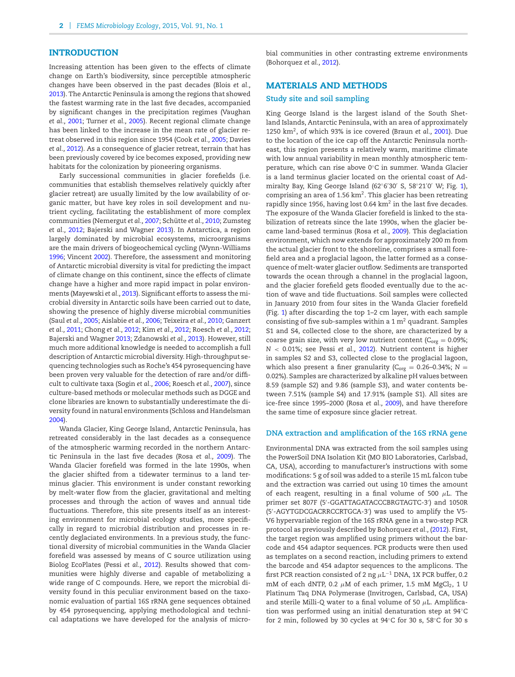## **INTRODUCTION**

Increasing attention has been given to the effects of climate change on Earth's biodiversity, since perceptible atmospheric changes have been observed in the past decades (Blois *et al.,* [2013\)](#page-7-0). The Antarctic Peninsula is among the regions that showed the fastest warming rate in the last five decades, accompanied by significant changes in the precipitation regimes (Vaughan *et al.,* [2001;](#page-9-0) Turner *et al.,* [2005\)](#page-9-1). Recent regional climate change has been linked to the increase in the mean rate of glacier retreat observed in this region since 1954 (Cook *et al.,* [2005;](#page-8-0) Davies *et al.,* [2012\)](#page-8-1). As a consequence of glacier retreat, terrain that has been previously covered by ice becomes exposed, providing new habitats for the colonization by pioneering organisms.

Early successional communities in glacier forefields (i.e. communities that establish themselves relatively quickly after glacier retreat) are usually limited by the low availability of organic matter, but have key roles in soil development and nutrient cycling, facilitating the establishment of more complex communities (Nemergut *et al., 2007*; Schütte et al., [2010;](#page-8-3) Zumsteg *et al.,* [2012;](#page-9-2) Bajerski and Wagner [2013\)](#page-7-1). In Antarctica, a region largely dominated by microbial ecosystems, microorganisms are the main drivers of biogeochemical cycling (Wynn-Williams [1996;](#page-9-3) Vincent [2002\)](#page-9-4). Therefore, the assessment and monitoring of Antarctic microbial diversity is vital for predicting the impact of climate change on this continent, since the effects of climate change have a higher and more rapid impact in polar environments (Mayewski *et al.,* [2013\)](#page-8-4). Significant efforts to assess the microbial diversity in Antarctic soils have been carried out to date, showing the presence of highly diverse microbial communities (Saul *et al.,* [2005;](#page-8-5) Aislabie *et al.,* [2006;](#page-7-2) Teixeira *et al.,* [2010;](#page-9-5) Ganzert *et al.,* [2011;](#page-8-6) Chong *et al.,* [2012;](#page-8-7) Kim *et al.,* [2012;](#page-8-8) Roesch *et al.,* [2012;](#page-8-9) Bajerski and Wagner [2013;](#page-7-1) Zdanowski *et al.,* [2013\)](#page-9-6). However, still much more additional knowledge is needed to accomplish a full description of Antarctic microbial diversity. High-throughput sequencing technologies such as Roche's 454 pyrosequencing have been proven very valuable for the detection of rare and/or difficult to cultivate taxa (Sogin *et al.,* [2006;](#page-8-10) Roesch *et al.,* [2007\)](#page-8-11), since culture-based methods or molecular methods such as DGGE and clone libraries are known to substantially underestimate the diversity found in natural environments (Schloss and Handelsman [2004\)](#page-8-12).

Wanda Glacier, King George Island, Antarctic Peninsula, has retreated considerably in the last decades as a consequence of the atmospheric warming recorded in the northern Antarctic Peninsula in the last five decades (Rosa *et al.,* [2009\)](#page-8-13). The Wanda Glacier forefield was formed in the late 1990s, when the glacier shifted from a tidewater terminus to a land terminus glacier. This environment is under constant reworking by melt-water flow from the glacier, gravitational and melting processes and through the action of waves and annual tide fluctuations. Therefore, this site presents itself as an interesting environment for microbial ecology studies, more specifically in regard to microbial distribution and processes in recently deglaciated environments. In a previous study, the functional diversity of microbial communities in the Wanda Glacier forefield was assessed by means of C source utilization using Biolog EcoPlates (Pessi *et al.,* [2012\)](#page-8-14). Results showed that communities were highly diverse and capable of metabolizing a wide range of C compounds. Here, we report the microbial diversity found in this peculiar environment based on the taxonomic evaluation of partial 16S rRNA gene sequences obtained by 454 pyrosequencing, applying methodological and technical adaptations we have developed for the analysis of microbial communities in other contrasting extreme environments (Bohorquez *et al.,* [2012\)](#page-7-3).

#### **MATERIALS AND METHODS**

#### **Study site and soil sampling**

King George Island is the largest island of the South Shetland Islands, Antarctic Peninsula, with an area of approximately 1250 km2, of which 93% is ice covered (Braun *et al.,* [2001\)](#page-7-4). Due to the location of the ice cap off the Antarctic Peninsula northeast, this region presents a relatively warm, maritime climate with low annual variability in mean monthly atmospheric temperature, which can rise above 0◦C in summer. Wanda Glacier is a land terminus glacier located on the oriental coast of Admiralty Bay, King George Island (62◦6 30 S, 58◦21 0 W; Fig. [1\)](#page-2-0), comprising an area of 1.56 km2. This glacier has been retreating rapidly since 1956, having lost 0.64 km<sup>2</sup> in the last five decades. The exposure of the Wanda Glacier forefield is linked to the stabilization of retreats since the late 1990s, when the glacier became land-based terminus (Rosa *et al.,* [2009\)](#page-8-13). This deglaciation environment, which now extends for approximately 200 m from the actual glacier front to the shoreline, comprises a small forefield area and a proglacial lagoon, the latter formed as a consequence of melt-water glacier outflow. Sediments are transported towards the ocean through a channel in the proglacial lagoon, and the glacier forefield gets flooded eventually due to the action of wave and tide fluctuations. Soil samples were collected in January 2010 from four sites in the Wanda Glacier forefield (Fig. [1\)](#page-2-0) after discarding the top 1–2 cm layer, with each sample consisting of five sub-samples within a 1  $m<sup>2</sup>$  quadrant. Samples S1 and S4, collected close to the shore, are characterized by a coarse grain size, with very low nutrient content ( $C_{org} = 0.09\%$ ; *N* < 0.01%; see Pessi *et al.,* [2012\)](#page-8-14). Nutrient content is higher in samples S2 and S3, collected close to the proglacial lagoon, which also present a finer granularity ( $C_{org} = 0.26-0.34\%$ ;  $N =$ 0.02%). Samples are characterized by alkaline pH values between 8.59 (sample S2) and 9.86 (sample S3), and water contents between 7.51% (sample S4) and 17.91% (sample S1). All sites are ice-free since 1995–2000 (Rosa *et al.,* [2009\)](#page-8-13), and have therefore the same time of exposure since glacier retreat.

#### **DNA extraction and amplification of the 16S rRNA gene**

Environmental DNA was extracted from the soil samples using the PowerSoil DNA Isolation Kit (MO BIO Laboratories, Carlsbad, CA, USA), according to manufacturer's instructions with some modifications: 5 g of soil was added to a sterile 15 mL falcon tube and the extraction was carried out using 10 times the amount of each reagent, resulting in a final volume of 500  $\mu$ L. The primer set 807F (5 -GGATTAGATACCCBRGTAGTC-3 ) and 1050R (5 -AGYTGDCGACRRCCRTGCA-3 ) was used to amplify the V5- V6 hypervariable region of the 16S rRNA gene in a two-step PCR protocol as previously described by Bohorquez *et al.,* [\(2012\)](#page-7-3). First, the target region was amplified using primers without the barcode and 454 adaptor sequences. PCR products were then used as templates on a second reaction, including primers to extend the barcode and 454 adaptor sequences to the amplicons. The first PCR reaction consisted of 2 ng  $\mu$ L<sup>-1</sup> DNA, 1X PCR buffer, 0.2 mM of each dNTP, 0.2  $\mu$ M of each primer, 1.5 mM MgCl<sub>2</sub>, 1 U Platinum Taq DNA Polymerase (Invitrogen, Carlsbad, CA, USA) and sterile Milli-Q water to a final volume of 50  $\mu$ L. Amplification was performed using an initial denaturation step at 94◦C for 2 min, followed by 30 cycles at 94◦C for 30 s, 58◦C for 30 s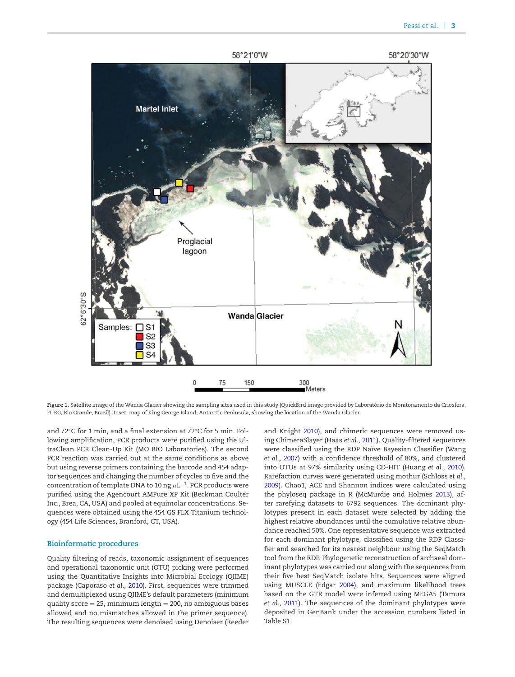<span id="page-2-0"></span>

**Figure 1.** Satellite image of the Wanda Glacier showing the sampling sites used in this study (QuickBird image provided by Laboratorio de Monitoramento da Criosfera, ´ FURG, Rio Grande, Brazil). Inset: map of King George Island, Antarctic Peninsula, showing the location of the Wanda Glacier.

and 72◦C for 1 min, and a final extension at 72◦C for 5 min. Following amplification, PCR products were purified using the UltraClean PCR Clean-Up Kit (MO BIO Laboratories). The second PCR reaction was carried out at the same conditions as above but using reverse primers containing the barcode and 454 adaptor sequences and changing the number of cycles to five and the concentration of template DNA to 10 ng  $\mu$ L<sup>-1</sup>. PCR products were purified using the Agencourt AMPure XP Kit (Beckman Coulter Inc., Brea, CA, USA) and pooled at equimolar concentrations. Sequences were obtained using the 454 GS FLX Titanium technology (454 Life Sciences, Branford, CT, USA).

#### **Bioinformatic procedures**

Quality filtering of reads, taxonomic assignment of sequences and operational taxonomic unit (OTU) picking were performed using the Quantitative Insights into Microbial Ecology (QIIME) package (Caporaso *et al.,* [2010\)](#page-8-15). First, sequences were trimmed and demultiplexed using QIIME's default parameters (minimum quality score  $= 25$ , minimum length  $= 200$ , no ambiguous bases allowed and no mismatches allowed in the primer sequence). The resulting sequences were denoised using Denoiser (Reeder and Knight [2010\)](#page-8-16), and chimeric sequences were removed using ChimeraSlayer (Haas *et al.,* [2011\)](#page-8-17). Quality-filtered sequences were classified using the RDP Naïve Bayesian Classifier (Wang *et al.,* [2007\)](#page-9-7) with a confidence threshold of 80%, and clustered into OTUs at 97% similarity using CD-HIT (Huang *et al.,* [2010\)](#page-8-18). Rarefaction curves were generated using mothur (Schloss *et al.,* [2009\)](#page-8-19). Chao1, ACE and Shannon indices were calculated using the phyloseq package in R (McMurdie and Holmes [2013\)](#page-8-20), after rarefying datasets to 6792 sequences. The dominant phylotypes present in each dataset were selected by adding the highest relative abundances until the cumulative relative abundance reached 50%. One representative sequence was extracted for each dominant phylotype, classified using the RDP Classifier and searched for it[s](#page-3-0) nearest neighbour using the SeqMatch tool from the RDP. Phylogenetic reconstruction of archaeal dominant phylotypes was carried out along with the sequences from their five best SeqMatch isolate hits. Sequences were aligned using MUSCLE (Edgar [2004\)](#page-8-21), and maximum likelihood trees based on the GTR model were inferred using MEGA5 (Tamura *et al.,* [2011\)](#page-9-8). The sequences of the dominant phylotypes were deposited in GenBank under the accession numbers listed in Table S1.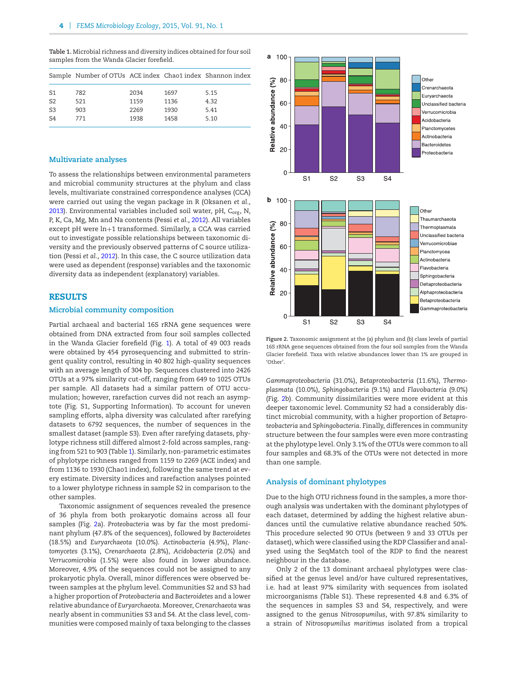<span id="page-3-0"></span>**Table 1.** Microbial richness and diversity indices obtained for four soil samples from the Wanda Glacier forefield.

|                | Sample Number of OTUs ACE index Chao1 index Shannon index |      |      |      |
|----------------|-----------------------------------------------------------|------|------|------|
| S1             | 782                                                       | 2034 | 1697 | 5.15 |
| S <sub>2</sub> | 521                                                       | 1159 | 1136 | 4.32 |
| S <sub>3</sub> | 903                                                       | 2269 | 1930 | 5.41 |
| S4             | 771                                                       | 1938 | 1458 | 5.10 |
|                |                                                           |      |      |      |

#### **Multivariate analyses**

To assess the relationships between environmental parameters and microbial community structures at the phylum and class levels, multivariate constrained correspondence analyses (CCA) were carried out using the vegan package in R (Oksanen *et al.,* [2013\)](#page-8-22). Environmental variables included soil water, pH, C<sub>org</sub>, N, P, K, Ca, Mg, Mn and Na contents (Pessi *et al.,* [2012\)](#page-8-14). All variables except pH were ln+1 transformed. Similarly, a CCA was carried out to investigate possible relationships between taxonomic diversity and the previously observed patterns of C source utilization (Pessi *et al.,* [2012\)](#page-8-14). In this case, the C source utilization data were used as dependent (response) variables and the taxonomic diversity data as independent (explanatory) variables.

#### **RESULTS**

#### **Microbial community composition**

Partial archaeal and bacterial 16S rRNA gene sequences were obtained from DNA extracted from four soil samples collected in the Wanda Glacier forefield (Fig. [1\)](#page-2-0). A total of 49 003 reads were obtained by 454 pyrosequencing and submitted to stringent quality control, resulting in 40 802 high-quality sequences with an average length of 304 bp. Sequences clustered into 2426 OTUs at a 97% similarity cut-off, ranging from 649 to 1025 OTUs per sample. All datasets had a similar pattern of OTU accumulation; however, rarefaction curves did not reach an asymptote (Fig. S1, Supporting Information). To account for uneven sampling efforts, alpha diversity was calculated after rarefying datasets to 6792 sequences, the number of sequences in the smallest dataset (sample S3). Even after rarefying datasets, phylotype richness still differed almost 2-fold across samples, ranging from 521 to 903 (Table [1\)](#page-3-0). Similarly, non-parametric estimates of phylotype richness ranged from 1159 to 2269 (ACE index) and from 1136 to 1930 (Chao1 index), following the same trend at every estimate. Diversity indices and rarefaction analyses pointed to a lower phylotype richness in sample S2 in comparison to the other samples.

Taxonomic assignment of sequences revealed the presence of 36 phyla from both prokaryotic domains across all four samples (Fig. [2a](#page-3-1)). *Proteobacteria* was by far the most predominant phylum (47.8% of the sequences), followed by *Bacteroidetes* (18.5%) and *Euryarchaeota* (10.0%). *Actinobacteria* (4.9%), *Planctomycetes* (3.1%), *Crenarchaeota* (2.8%), *Acidobacteria* (2.0%) and *Verrucomicrobia* (1.5%) were also found in lower abundance. Moreover, 4.9% of the sequences could not be assigned to any prokaryotic phyla. Overall, minor differences were observed between samples at the phylum level. Communities S2 and S3 had a higher proportion of *Proteobacteria* and *Bacteroidetes* and a lower relative abundance of *Euryarchaeota*. Moreover, *Crenarchaeota* was nearly absent in communities S3 and S4. At the class level, communities were composed mainly of taxa belonging to the classes

<span id="page-3-1"></span>

**Figure 2.** Taxonomic assignment at the (a) phylum and (b) class levels of partial 16S rRNA gene sequences obtained from the four soil samples from the Wanda Glacier forefield. Taxa with relative abundances lower than 1% are grouped in 'Other'.

*Gammaproteobacteria* (31.0%), *Betaproteobacteria* (11.6%), *Thermoplasmata* (10.0%), *Sphingobacteria* (9.1%) and *Flavobacteria* (9.0%) (Fig. [2b](#page-3-1)). Community dissimilarities were more evident at this deeper taxonomic level. Community S2 had a considerably distinct microbial community, with a higher proportion of *Betaproteobacteria* and *Sphingobacteria*. Finally, differences in community structure between the four samples were even more contrasting at the phylotype level. Only 3.1% of the OTUs were common to all four samples and 68.3% of the OTUs were not detected in more than one sample.

#### **Analysis of dominant phylotypes**

Due to the high OTU richness found in the samples, a more thorough analysis was undertaken with the dominant phylotypes of each dataset, determined by adding the highest relative abundances until the cumulative relative abundance reached 50%. This procedure selected 90 OTUs (between 9 and 33 OTUs per dataset), which were classified using the RDP Classifier and analysed using the SeqMatch tool of the RDP to find the nearest neighbour in the database.

Only 2 of the 13 dominant archaeal phylotypes were classified at the genus level and/or have cultured representatives, i.e. had at least 97% similarity with sequences from isolated microorganisms (Table S1). These represented 4.8 and 6.3% of the sequences in samples S3 and S4, respectively, and were assigned to the genus *Nitrosopumilus*, with 97.8% similarity to a strain of *Nitrosopumilus maritimus* isolated from a tropical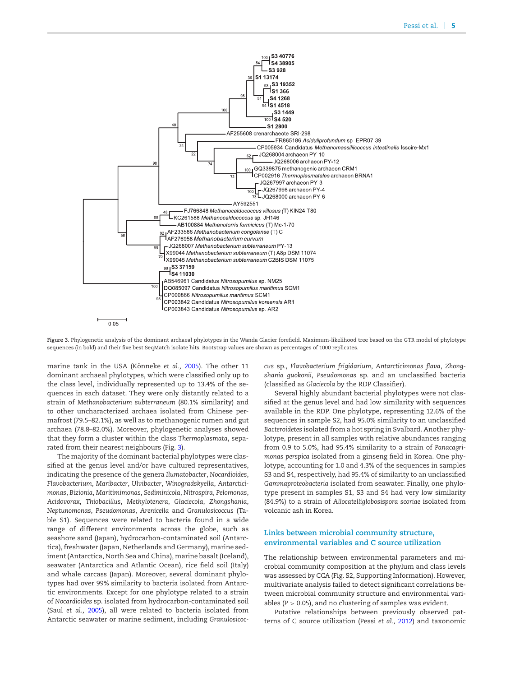<span id="page-4-0"></span>

**Figure 3.** Phylogenetic analysis of the dominant archaeal phylotypes in the Wanda Glacier forefield. Maximum-likelihood tree based on the GTR model of phylotype sequences (in bold) and their five best SeqMatch isolate hits. Bootstrap values are shown as percentages of 1000 replicates.

marine tank in the USA (Könneke et al., [2005\)](#page-8-23). The other 11 dominant archaeal phylotypes, which were classified only up to the class level, individually represented up to 13.4% of the sequences in each dataset. They were only distantly related to a strain of *Methanobacterium subterraneum* (80.1% similarity) and to other uncharacterized archaea isolated from Chinese permafrost (79.5–82.1%), as well as to methanogenic rumen and gut archaea (78.8–82.0%). Moreover, phylogenetic analyses showed that they form a cluster within the class *Thermoplasmata*, separated from their nearest neighbours (Fig. [3\)](#page-4-0).

The majority of the dominant bacterial phylotypes were classified at the genus level and/or have cultured representatives, indicating the presence of the genera *Ilumatobacter*, *Nocardioides*, *Flavobacterium*, *Maribacter*, *Ulvibacter*, *Winogradskyella*, *Antarcticimonas*, *Bizionia*, *Maritimimonas*, *Sediminicola*, *Nitrospira*, *Pelomonas*, *Acidovorax*, *Thiobacillus*, *Methylotenera*, *Glaciecola*, *Zhongshania*, *Neptunomonas*, *Pseudomonas*, *Arenicella* and *Granulosicoccus* (Table S1). Sequences were related to bacteria found in a wide range of different environments across the globe, such as seashore sand (Japan), hydrocarbon-contaminated soil (Antarctica), freshwater (Japan, Netherlands and Germany), marine sediment (Antarctica, North Sea and China), marine basalt (Iceland), seawater (Antarctica and Atlantic Ocean), rice field soil (Italy) and whale carcass (Japan). Moreover, several dominant phylotypes had over 99% similarity to bacteria isolated from Antarctic environments. Except for one phylotype related to a strain of *Nocardioides* sp. isolated from hydrocarbon-contaminated soil (Saul *et al.,* [2005\)](#page-8-5), all were related to bacteria isolated from Antarctic seawater or marine sediment, including *Granulosicoc-* *cus* sp., *Flavobacterium frigidarium*, *Antarcticimonas flava*, *Zhongshania guokonii*, *Pseudomonas* sp. and an unclassified bacteria (classified as *Glaciecola* by the RDP Classifier).

Several highly abundant bacterial phylotypes were not classified at the genus level and had low similarity with sequences available in the RDP. One phylotype, representing 12.6% of the sequences in sample S2, had 95.0% similarity to an unclassified *Bacteroidetes* isolated from a hot spring in Svalbard. Another phylotype, present in all samples with relative abundances ranging from 0.9 to 5.0%, had 95.4% similarity to a strain of *Panacagrimonas perspica* isolated from a ginseng field in Korea. One phylotype, accounting for 1.0 and 4.3% of the sequences in samples S3 and S4, respectively, had 95.4% of similarity to an unclassified *Gammaproteobacteria* isolated from seawater. Finally, one phylotype present in samples S1, S3 and S4 had very low similarity (84.9%) to a strain of *Allocatelliglobosispora scoriae* isolated from volcanic ash in Korea.

# **Links between microbial community structure, environmental variables and C source utilization**

The relationship between environmental parameters and microbial community composition at the phylum and class levels was assessed by CCA (Fig. S2, Supporting Information). However, multivariate analysis failed to detect significant correlations between microbial community structure and environmental variables (*P* > 0.05), and no clustering of samples was evident.

Putative relationships between previously observed patterns of C source utilization (Pessi *et al.,* [2012\)](#page-8-14) and taxonomic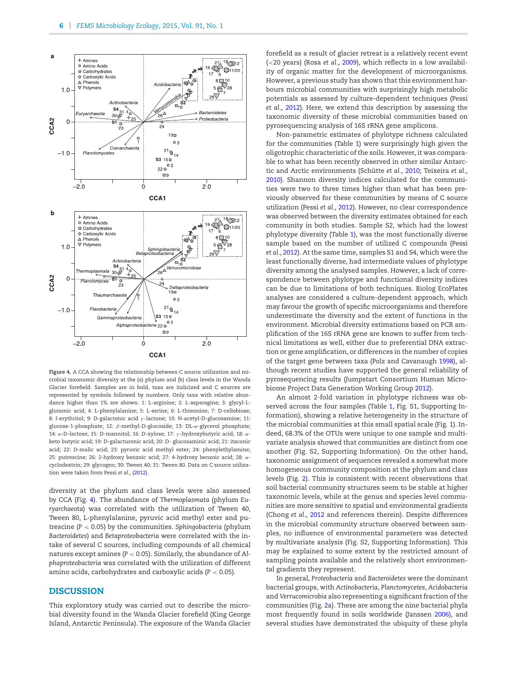<span id="page-5-0"></span>

**Figure 4.** A CCA showing the relationship between C source utilization and microbial taxonomic diversity at the (a) phylum and (b) class levels in the Wanda Glacier forefield. Samples are in bold, taxa are italicized and C sources are represented by symbols followed by numbers. Only taxa with relative abundance higher than 1% are shown. 1: L-arginine; 2: L-asparagine; 3: glycyl-Lglutamic acid; 4: L-phenylalanine; 5: L-serine; 6: L-threonine; 7: D-cellobiose; 8: I-erythritol; 9: D-galactonic acid γ -lactone; 10: N-acetyl-D-glucosamine; 11: glucose-1-phosphate; 12: β-methyl-D-glucoside; 13: DL-α-glycerol phosphate; 14: α-D-lactose; 15: D-mannitol; 16: D-xylose; 17: γ-hydroxybutyric acid; 18: αketo butyric acid; 19: D-galacturonic acid; 20: D- glucosaminic acid; 21: itaconic acid; 22: D-malic acid; 23: pyruvic acid methyl ester; 24: phenylethylamine; 25: putrescine; 26: 2-hydroxy benzoic acid; 27: 4-hydroxy benzoic acid; 28: αcyclodextrin; 29: glycogen; 30: Tween 40; 31: Tween 80. Data on C source utilization were taken from Pessi *et al.*, [\(2012\)](#page-8-14).

diversity at the phylum and class levels were also assessed by CCA (Fig. [4\)](#page-5-0). The abundance of *Thermoplasmata* (phylum *Euryarchaeota*) was correlated with the utilization of Tween 40, Tween 80, L-phenylalanine, pyruvic acid methyl ester and putrescine (*P* < 0.05) by the communities. *Sphingobacteria* (phylum *Bacteroidetes*) and *Betaproteobacteria* were correlated with the intake of several C sources, including compounds of all chemical natures except amines (*P* < 0.05). Similarly, the abundance of *Alphaproteobacteria* was correlated with the utilization of different amino acids, carbohydrates and carboxylic acids (*P* < 0.05).

# **DISCUSSION**

This exploratory study was carried out to describe the microbial diversity found in the Wanda Glacier forefield (King George Island, Antarctic Peninsula). The exposure of the Wanda Glacier forefield as a result of glacier retreat is a relatively recent event (<20 years) (Rosa *et al.,* [2009\)](#page-8-13), which reflects in a low availability of organic matter for the development of microorganisms. However, a previous study has shown that this environment harbours microbial communities with surprisingly high metabolic potentials as assessed by culture-dependent techniques (Pessi *et al.,* [2012\)](#page-8-14). Here, we extend this description by assessing the taxonomic diversity of these microbial communities based on pyrosequencing analysis of 16S rRNA gene amplicons.

Non-parametric estimates of phylotype richness calculated for the communities (Table [1\)](#page-3-0) were surprisingly high given the oligotrophic characteristic of the soils. However, it was comparable to what has been recently observed in other similar Antarc-tic and Arctic environments (Schütte et al., [2010;](#page-8-3) Teixeira et al., [2010\)](#page-9-5). Shannon diversity indices calculated for the communities were two to three times higher than what has been previously observed for these communities by means of C source utilization (Pessi *et al.,* [2012\)](#page-8-14). However, no clear correspondence was observed between the diversity estimates obtained for each community in both studies. Sample S2, which had the lowest phylotype diversity (Table [1\)](#page-3-0), was the most functionally diverse sample based on the number of utilized C compounds (Pessi *et al.,* [2012\)](#page-8-14). At the same time, samples S1 and S4, which were the least functionally diverse, had intermediate values of phylotype diversity among the analysed samples. However, a lack of correspondence between phylotype and functional diversity indices can be due to limitations of both techniques. Biolog EcoPlates analyses are considered a culture-dependent approach, which may favour the growth of specific microorganisms and therefore underestimate the diversity and the extent of functions in the environment. Microbial diversity estimations based on PCR amplification of the 16S rRNA gene are known to suffer from technical limitations as well, either due to preferential DNA extraction or gene amplification, or differences in the number of copies of the target gene between taxa (Polz and Cavanaugh [1998\)](#page-8-24), although recent studies have supported the general reliability of pyrosequencing results (Jumpstart Consortium Human Microbiome Project Data Generation Working Group [2012\)](#page-8-25).

An almost 2-fold variation in phylotype richness was observed across the four samples (Table [1,](#page-3-0) Fig. S1, Supporting Information), showing a relative heterogeneity in the structure of the microbial communities at this small spatial scale (Fig. [1\)](#page-2-0). Indeed, 68.3% of the OTUs were unique to one sample and multivariate analysis showed that communities are distinct from one another (Fig. S2, Supporting Information). On the other hand, taxonomic assignment of sequences revealed a somewhat more homogeneous community composition at the phylum and class levels (Fig. [2\)](#page-3-1). This is consistent with recent observations that soil bacterial community structures seem to be stable at higher taxonomic levels, while at the genus and species level communities are more sensitive to spatial and environmental gradients (Chong *et al.,* [2012](#page-8-7) and references therein). Despite differences in the microbial community structure observed between samples, no influence of environmental parameters was detected by multivariate analysis (Fig. S2, Supporting Information). This may be explained to some extent by the restricted amount of sampling points available and the relatively short environmental gradients they represent.

In general, *Proteobacteria* and *Bacteroidetes* were the dominant bacterial groups, with *Actinobacteria*, *Planctomycetes*, *Acidobacteria* and *Verrucomicrobia* also representing a significant fraction of the communities (Fig. [2a](#page-3-1)). These are among the nine bacterial phyla most frequently found in soils worldwide (Janssen [2006\)](#page-8-26), and several studies have demonstrated the ubiquity of these phyla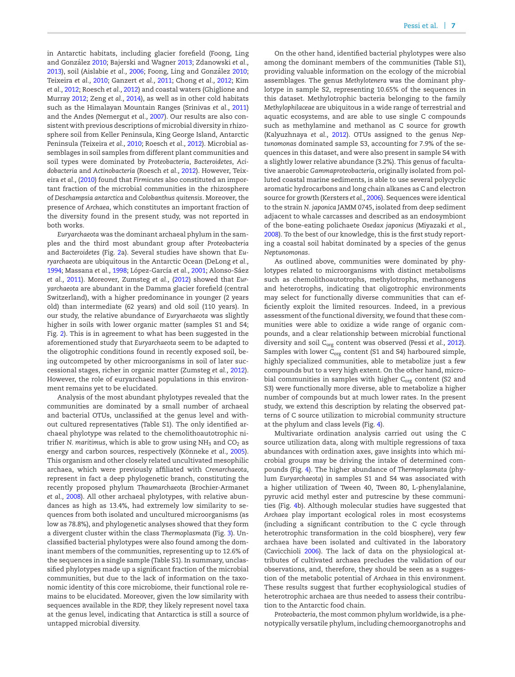in Antarctic habitats, including glacier forefield (Foong, Ling and González [2010;](#page-8-27) Bajerski and Wagner [2013;](#page-7-1) Zdanowski *et al.*, [2013\)](#page-9-6), soil (Aislabie et al., [2006;](#page-7-2) Foong, Ling and González [2010;](#page-8-27) Teixeira *et al.,* [2010;](#page-9-5) Ganzert *et al.,* [2011;](#page-8-6) Chong *et al.,* [2012;](#page-8-7) Kim *et al.,* [2012;](#page-8-8) Roesch *et al.,* [2012\)](#page-8-9) and coastal waters (Ghiglione and Murray [2012;](#page-8-28) Zeng *et al.,* [2014\)](#page-9-9), as well as in other cold habitats such as the Himalayan Mountain Ranges (Srinivas *et al.,* [2011\)](#page-8-29) and the Andes (Nemergut *et al.,* [2007\)](#page-8-2). Our results are also consistent with previous descriptions of microbial diversity in rhizosphere soil from Keller Peninsula, King George Island, Antarctic Peninsula (Teixeira *et al.,* [2010;](#page-9-5) Roesch *et al.,* [2012\)](#page-8-9). Microbial assemblages in soil samples from different plant communities and soil types were dominated by *Proteobacteria*, *Bacteroidetes*, *Acidobacteria* and *Actinobacteria* (Roesch *et al.,* [2012\)](#page-8-9). However, Teixeira *et al.,* [\(2010\)](#page-9-5) found that *Firmicutes* also constituted an important fraction of the microbial communities in the rhizosphere of *Deschampsia antarctica* and *Colobanthus quitensis*. Moreover, the presence of *Archaea*, which constitutes an important fraction of the diversity found in the present study, was not reported in both works.

*Euryarchaeota* was the dominant archaeal phylum in the samples and the third most abundant group after *Proteobacteria* and *Bacteroidetes* (Fig. [2a](#page-3-1)). Several studies have shown that *Euryarchaeota* are ubiquitous in the Antarctic Ocean (DeLong *et al.,* [1994;](#page-8-30) Massana et al., [1998;](#page-8-31) López-García et al., [2001;](#page-8-32) Alonso-Sáez *et al.,* [2011\)](#page-7-5). Moreover, Zumsteg *et al.,* [\(2012\)](#page-9-2) showed that *Euryarchaeota* are abundant in the Damma glacier forefield (central Switzerland), with a higher predominance in younger (2 years old) than intermediate (62 years) and old soil (110 years). In our study, the relative abundance of *Euryarchaeota* was slightly higher in soils with lower organic matter (samples S1 and S4; Fig. [2\)](#page-3-1). This is in agreement to what has been suggested in the aforementioned study that *Euryarchaeota* seem to be adapted to the oligotrophic conditions found in recently exposed soil, being outcompeted by other microorganisms in soil of later successional stages, richer in organic matter (Zumsteg *et al.,* [2012\)](#page-9-2). However, the role of euryarchaeal populations in this environment remains yet to be elucidated.

Analysis of the most abundant phylotypes revealed that the communities are dominated by a small number of archaeal and bacterial OTUs, unclassified at the genus level and without cultured representatives (Table S1). The only identified archaeal phylotype was related to the chemolithoautotrophic nitrifier *N. maritimus*, which is able to grow using NH<sub>3</sub> and CO<sub>2</sub> as energy and carbon sources, respectively (Könneke et al., [2005\)](#page-8-23). This organism and other closely related uncultivated mesophilic archaea, which were previously affiliated with *Crenarchaeota*, represent in fact a deep phylogenetic branch, constituting the recently proposed phylum *Thaumarchaeota* (Brochier-Armanet *et al.,* [2008\)](#page-7-6). All other archaeal phylotypes, with relative abundances as high as 13.4%, had extremely low similarity to sequences from both isolated and uncultured microorganisms (as low as 78.8%), and phylogenetic analyses showed that they form a divergent cluster within the class *Thermoplasmata* (Fig. [3\)](#page-4-0). Unclassified bacterial phylotypes were also found among the dominant members of the communities, representing up to 12.6% of the sequences in a single sample (Table S1). In summary, unclassified phylotypes made up a significant fraction of the microbial communities, but due to the lack of information on the taxonomic identity of this core microbiome, their functional role remains to be elucidated. Moreover, given the low similarity with sequences available in the RDP, they likely represent novel taxa at the genus level, indicating that Antarctica is still a source of untapped microbial diversity.

On the other hand, identified bacterial phylotypes were also among the dominant members of the communities (Table S1), providing valuable information on the ecology of the microbial assemblages. The genus *Methylotenera* was the dominant phylotype in sample S2, representing 10.65% of the sequences in this dataset. Methylotrophic bacteria belonging to the family *Methylophilaceae* are ubiquitous in a wide range of terrestrial and aquatic ecosystems, and are able to use single C compounds such as methylamine and methanol as C source for growth (Kalyuzhnaya *et al.,* [2012\)](#page-8-33). OTUs assigned to the genus *Neptunomonas* dominated sample S3, accounting for 7.9% of the sequences in this dataset, and were also present in sample S4 with a slightly lower relative abundance (3.2%). This genus of facultative anaerobic *Gammaproteobacteria*, originally isolated from polluted coastal marine sediments, is able to use several polycyclic aromatic hydrocarbons and long chain alkanes as C and electron source for growth (Kersters *et al.,* [2006\)](#page-8-34). Sequences were identical to the strain *N. japonica* JAMM 0745, isolated from deep sediment adjacent to whale carcasses and described as an endosymbiont of the bone-eating polichaete *Osedax japonicus* (Miyazaki *et al.,* [2008\)](#page-8-35). To the best of our knowledge, this is the first study reporting a coastal soil habitat dominated by a species of the genus *Neptunomonas*.

As outlined above, communities were dominated by phylotypes related to microorganisms with distinct metabolisms such as chemolithoautotrophs, methylotrophs, methanogens and heterotrophs, indicating that oligotrophic environments may select for functionally diverse communities that can efficiently exploit the limited resources. Indeed, in a previous assessment of the functional diversity, we found that these communities were able to oxidize a wide range of organic compounds, and a clear relationship between microbial functional diversity and soil C<sub>org</sub> content was observed (Pessi et al., [2012\)](#page-8-14). Samples with lower  $C_{org}$  content (S1 and S4) harboured simple, highly specialized communities, able to metabolize just a few compounds but to a very high extent. On the other hand, microbial communities in samples with higher C<sub>org</sub> content (S2 and S3) were functionally more diverse, able to metabolize a higher number of compounds but at much lower rates. In the present study, we extend this description by relating the observed patterns of C source utilization to microbial community structure at the phylum and class levels (Fig. [4\)](#page-5-0).

Multivariate ordination analysis carried out using the C source utilization data, along with multiple regressions of taxa abundances with ordination axes, gave insights into which microbial groups may be driving the intake of determined compounds (Fig. [4\)](#page-5-0). The higher abundance of *Thermoplasmata* (phylum *Euryarchaeota*) in samples S1 and S4 was associated with a higher utilization of Tween 40, Tween 80, L-phenylalanine, pyruvic acid methyl ester and putrescine by these communities (Fig. [4b](#page-5-0)). Although molecular studies have suggested that *Archaea* play important ecological roles in most ecosystems (including a significant contribution to the C cycle through heterotrophic transformation in the cold biosphere), very few archaea have been isolated and cultivated in the laboratory (Cavicchioli [2006\)](#page-8-36). The lack of data on the physiological attributes of cultivated archaea precludes the validation of our observations, and, therefore, they should be seen as a suggestion of the metabolic potential of *Archaea* in this environment. These results suggest that further ecophysiological studies of heterotrophic archaea are thus needed to assess their contribution to the Antarctic food chain.

*Proteobacteria*, the most common phylum worldwide, is a phenotypically versatile phylum, including chemoorganotrophs and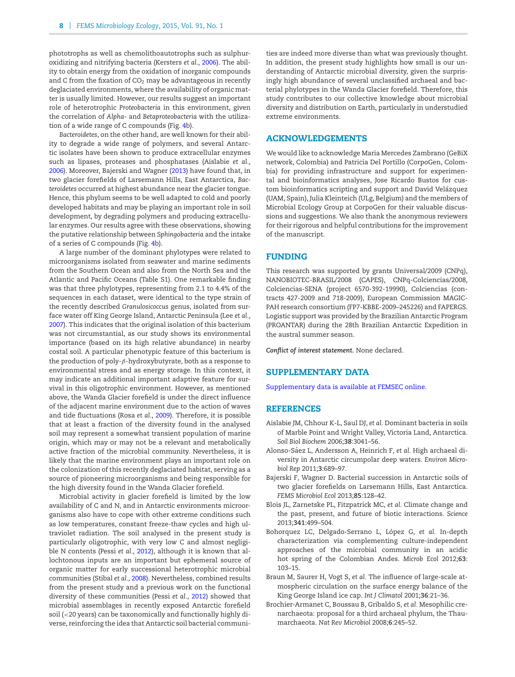phototrophs as well as chemolithoautotrophs such as sulphuroxidizing and nitrifying bacteria (Kersters *et al.,* [2006\)](#page-8-34). The ability to obtain energy from the oxidation of inorganic compounds and C from the fixation of  $CO<sub>2</sub>$  may be advantageous in recently deglaciated environments, where the availability of organic matter is usually limited. However, our results suggest an important role of heterotrophic *Proteobacteria* in this environment, given the correlation of *Alpha*- and *Betaproteobacteria* with the utilization of a wide range of C compounds (Fig. [4b](#page-5-0)).

*Bacteroidetes*, on the other hand, are well known for their ability to degrade a wide range of polymers, and several Antarctic isolates have been shown to produce extracellular enzymes such as lipases, proteases and phosphatases (Aislabie *et al.,* [2006\)](#page-7-2). Moreover, Bajerski and Wagner [\(2013\)](#page-7-1) have found that, in two glacier forefields of Larsemann Hills, East Antarctica, *Bacteroidetes* occurred at highest abundance near the glacier tongue. Hence, this phylum seems to be well adapted to cold and poorly developed habitats and may be playing an important role in soil development, by degrading polymers and producing extracellular enzymes. Our results agree with these observations, showing the putative relationship between *Sphingobacteria* and the intake of a series of C compounds (Fig. [4b](#page-5-0)).

A large number of the dominant phylotypes were related to microorganisms isolated from seawater and marine sediments from the Southern Ocean and also from the North Sea and the Atlantic and Pacific Oceans (Table S1). One remarkable finding was that three phylotypes, representing from 2.1 to 4.4% of the sequences in each dataset, were identical to the type strain of the recently described *Granulosicoccus* genus, isolated from surface water off King George Island, Antarctic Peninsula (Lee *et al.,* [2007\)](#page-8-37). This indicates that the original isolation of this bacterium was not circumstantial, as our study shows its environmental importance (based on its high relative abundance) in nearby costal soil. A particular phenotypic feature of this bacterium is the production of poly- $\beta$ -hydroxybutyrate, both as a response to environmental stress and as energy storage. In this context, it may indicate an additional important adaptive feature for survival in this oligotrophic environment. However, as mentioned above, the Wanda Glacier forefield is under the direct influence of the adjacent marine environment due to the action of waves and tide fluctuations (Rosa *et al.,* [2009\)](#page-8-13). Therefore, it is possible that at least a fraction of the diversity found in the analysed soil may represent a somewhat transient population of marine origin, which may or may not be a relevant and metabolically active fraction of the microbial community. Nevertheless, it is likely that the marine environment plays an important role on the colonization of this recently deglaciated habitat, serving as a source of pioneering microorganisms and being responsible for the high diversity found in the Wanda Glacier forefield.

Microbial activity in glacier forefield is limited by the low availability of C and N, and in Antarctic environments microorganisms also have to cope with other extreme conditions such as low temperatures, constant freeze-thaw cycles and high ultraviolet radiation. The soil analysed in the present study is particularly oligotrophic, with very low C and almost negligible N contents (Pessi *et al.,* [2012\)](#page-8-14), although it is known that allochtonous inputs are an important but ephemeral source of organic matter for early successional heterotrophic microbial communities (Stibal *et al.,* [2008\)](#page-8-38). Nevertheless, combined results from the present study and a previous work on the functional diversity of these communities (Pessi *et al.,* [2012\)](#page-8-14) showed that microbial assemblages in recently exposed Antarctic forefield soil (<20 years) can be taxonomically and functionally highly diverse, reinforcing the idea that Antarctic soil bacterial communities are indeed more diverse than what was previously thought. In addition, the present study highlights how small is our understanding of Antarctic microbial diversity, given the surprisingly high abundance of several unclassified archaeal and bacterial phylotypes in the Wanda Glacier forefield. Therefore, this study contributes to our collective knowledge about microbial diversity and distribution on Earth, particularly in understudied extreme environments.

# **ACKNOWLEDGEMENTS**

We would like to acknowledge Maria Mercedes Zambrano (GeBiX network, Colombia) and Patricia Del Portillo (CorpoGen, Colombia) for providing infrastructure and support for experimental and bioinformatics analyses, Jose Ricardo Bustos for custom bioinformatics scripting and support and David Velázquez (UAM, Spain), Julia Kleinteich (ULg, Belgium) and the members of Microbial Ecology Group at CorpoGen for their valuable discussions and suggestions. We also thank the anonymous reviewers for their rigorous and helpful contributions for the improvement of the manuscript.

#### **FUNDING**

This research was supported by grants Universal/2009 (CNPq), NANOBIOTEC-BRASIL/2008 (CAPES), CNPq-Colciencias/2008, Colciencias-SENA (project 6570-392-19990), Colciencias (contracts 427-2009 and 718-2009), European Commission MAGIC-PAH research consortium (FP7-KBBE-2009–245226) and FAPERGS. Logistic support was provided by the Brazilian Antarctic Program (PROANTAR) during the 28th Brazilian Antarctic Expedition in the austral summer season.

*Conflict of interest statement.* None declared.

# **SUPPLEMENTARY DATA**

[Supplementary data is available at FEMSEC online.](http://femsec.oxfordjournals.org/lookup/suppl/doi:10.1093/femsec/005/-/DC1)

#### **REFERENCES**

- <span id="page-7-2"></span>Aislabie JM, Chhour K-L, Saul DJ, *et al.* Dominant bacteria in soils of Marble Point and Wright Valley, Victoria Land, Antarctica. *Soil Biol Biochem* 2006;**38**:3041–56.
- <span id="page-7-5"></span>Alonso-Sáez L, Andersson A, Heinrich F, et al. High archaeal diversity in Antarctic circumpolar deep waters. *Environ Microbiol Rep* 2011;**3**:689–97.
- <span id="page-7-1"></span>Bajerski F, Wagner D. Bacterial succession in Antarctic soils of two glacier forefields on Larsemann Hills, East Antarctica. *FEMS Microbiol Ecol* 2013;**85**:128–42.
- <span id="page-7-0"></span>Blois JL, Zarnetske PL, Fitzpatrick MC, *et al.* Climate change and the past, present, and future of biotic interactions. *Science* 2013;**341**:499–504.
- <span id="page-7-3"></span>Bohorquez LC, Delgado-Serrano L, López G, et al. In-depth characterization via complementing culture-independent approaches of the microbial community in an acidic hot spring of the Colombian Andes. *Microb Ecol* 2012;**63**: 103–15.
- <span id="page-7-4"></span>Braun M, Saurer H, Vogt S, *et al.* The influence of large-scale atmospheric circulation on the surface energy balance of the King George Island ice cap. *Int J Climatol* 2001;**36**:21–36.
- <span id="page-7-6"></span>Brochier-Armanet C, Boussau B, Gribaldo S, *et al.* Mesophilic crenarchaeota: proposal for a third archaeal phylum, the Thaumarchaeota. *Nat Rev Microbiol* 2008;**6**:245–52.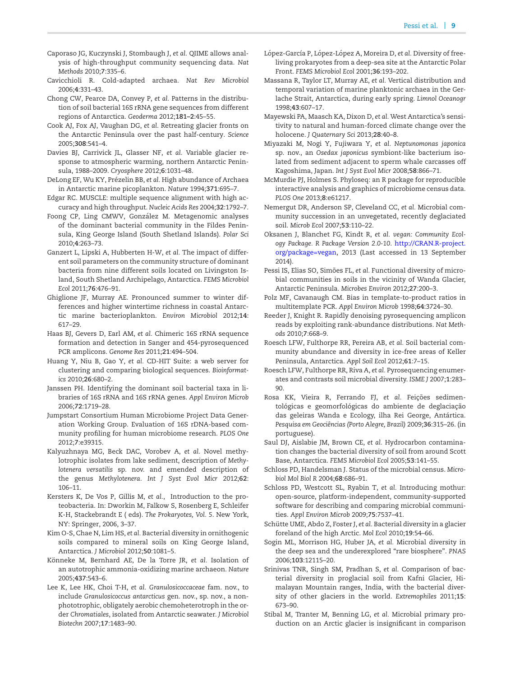- <span id="page-8-15"></span>Caporaso JG, Kuczynski J, Stombaugh J, *et al.* QIIME allows analysis of high-throughput community sequencing data. *Nat Methods* 2010;**7**:335–6.
- <span id="page-8-36"></span>Cavicchioli R. Cold-adapted archaea. *Nat Rev Microbiol* 2006;**4**:331–43.
- <span id="page-8-7"></span>Chong CW, Pearce DA, Convey P, *et al.* Patterns in the distribution of soil bacterial 16S rRNA gene sequences from different regions of Antarctica. *Geoderma* 2012;**181–2**:45–55.
- <span id="page-8-0"></span>Cook AJ, Fox AJ, Vaughan DG, *et al.* Retreating glacier fronts on the Antarctic Peninsula over the past half-century. *Science* 2005;**308**:541–4.
- <span id="page-8-1"></span>Davies BJ, Carrivick JL, Glasser NF, *et al.* Variable glacier response to atmospheric warming, northern Antarctic Peninsula, 1988–2009. *Cryosphere* 2012;**6**:1031–48.
- <span id="page-8-30"></span>DeLong EF, Wu KY, Prézelin BB, et al. High abundance of Archaea in Antarctic marine picoplankton. *Nature* 1994;**371**:695–7.
- <span id="page-8-21"></span>Edgar RC. MUSCLE: multiple sequence alignment with high accuracy and high throughput. *Nucleic Acids Res* 2004;**32**:1792–7.
- <span id="page-8-27"></span>Foong CP, Ling CMWV, González M. Metagenomic analyses of the dominant bacterial community in the Fildes Peninsula, King George Island (South Shetland Islands). *Polar Sci* 2010;**4**:263–73.
- <span id="page-8-6"></span>Ganzert L, Lipski A, Hubberten H-W, *et al.* The impact of different soil parameters on the community structure of dominant bacteria from nine different soils located on Livingston Island, South Shetland Archipelago, Antarctica. *FEMS Microbiol Ecol* 2011;**76**:476–91.
- <span id="page-8-28"></span>Ghiglione JF, Murray AE. Pronounced summer to winter differences and higher wintertime richness in coastal Antarctic marine bacterioplankton. *Environ Microbiol* 2012;**14**: 617–29.
- <span id="page-8-17"></span>Haas BJ, Gevers D, Earl AM, *et al.* Chimeric 16S rRNA sequence formation and detection in Sanger and 454-pyrosequenced PCR amplicons. *Genome Res* 2011;**21**:494–504.
- <span id="page-8-18"></span>Huang Y, Niu B, Gao Y, *et al.* CD-HIT Suite: a web server for clustering and comparing biological sequences. *Bioinformatics* 2010;**26**:680–2.
- <span id="page-8-26"></span>Janssen PH. Identifying the dominant soil bacterial taxa in libraries of 16S rRNA and 16S rRNA genes. *Appl Environ Microb* 2006;**72**:1719–28.
- <span id="page-8-25"></span>Jumpstart Consortium Human Microbiome Project Data Generation Working Group. Evaluation of 16S rDNA-based community profiling for human microbiome research. *PLOS One* 2012;**7**:e39315.
- <span id="page-8-33"></span>Kalyuzhnaya MG, Beck DAC, Vorobev A, *et al.* Novel methylotrophic isolates from lake sediment, description of *Methylotenera versatilis* sp. nov. and emended description of the genus *Methylotenera*. *Int J Syst Evol Micr* 2012;**62**: 106–11.
- <span id="page-8-34"></span>Kersters K, De Vos P, Gillis M, *et al.*, Introduction to the proteobacteria. In: Dworkin M, Falkow S, Rosenberg E, Schleifer K-H, Stackebrandt E ( eds). *The Prokaryotes, Vol. 5*. New York, NY: Springer, 2006, 3–37.
- <span id="page-8-8"></span>Kim O-S, Chae N, Lim HS, *et al.* Bacterial diversity in ornithogenic soils compared to mineral soils on King George Island, Antarctica. *J Microbiol* 2012;**50**:1081–5.
- <span id="page-8-23"></span>Könneke M, Bernhard AE, De la Torre JR, et al. Isolation of an autotrophic ammonia-oxidizing marine archaeon. *Nature* 2005;**437**:543–6.
- <span id="page-8-37"></span>Lee K, Lee HK, Choi T-H, *et al. Granulosicoccaceae* fam. nov., to include *Granulosicoccus antarcticus* gen. nov., sp. nov., a nonphototrophic, obligately aerobic chemoheterotroph in the order *Chromatiales*, isolated from Antarctic seawater. *J Microbiol Biotechn* 2007;**17**:1483–90.
- <span id="page-8-32"></span>López-García P, López-López A, Moreira D, et al. Diversity of freeliving prokaryotes from a deep-sea site at the Antarctic Polar Front. *FEMS Microbiol Ecol* 2001;**36**:193–202.
- <span id="page-8-31"></span>Massana R, Taylor LT, Murray AE, *et al.* Vertical distribution and temporal variation of marine planktonic archaea in the Gerlache Strait, Antarctica, during early spring. *Limnol Oceanogr* 1998;**43**:607–17.
- <span id="page-8-4"></span>Mayewski PA, Maasch KA, Dixon D, *et al.* West Antarctica's sensitivity to natural and human-forced climate change over the holocene. *J Quaternary Sci* 2013;**28**:40–8.
- <span id="page-8-35"></span>Miyazaki M, Nogi Y, Fujiwara Y, *et al. Neptunomonas japonica* sp. nov., an *Osedax japonicus* symbiont-like bacterium isolated from sediment adjacent to sperm whale carcasses off Kagoshima, Japan. *Int J Syst Evol Micr* 2008;**58**:866–71.
- <span id="page-8-20"></span>McMurdie PJ, Holmes S. Phyloseq: an R package for reproducible interactive analysis and graphics of microbiome census data. *PLOS One* 2013;**8**:e61217.
- <span id="page-8-2"></span>Nemergut DR, Anderson SP, Cleveland CC, *et al.* Microbial community succession in an unvegetated, recently deglaciated soil. *Microb Ecol* 2007;**53**:110–22.
- <span id="page-8-22"></span>Oksanen J, Blanchet FG, Kindt R, *et al. vegan: Community Ecology Package. R Package Version 2.0-10*. [http://CRAN.R-project.](http://CRAN.R-project.org/package=vegan) [org/package=vegan,](http://CRAN.R-project.org/package=vegan) 2013 (Last accessed in 13 September 2014).
- <span id="page-8-14"></span>Pessi IS, Elias SO, Simões FL, et al. Functional diversity of microbial communities in soils in the vicinity of Wanda Glacier, Antarctic Peninsula. *Microbes Environ* 2012;**27**:200–3.
- <span id="page-8-24"></span>Polz MF, Cavanaugh CM. Bias in template-to-product ratios in multitemplate PCR. *Appl Environ Microb* 1998;**64**:3724–30.
- <span id="page-8-16"></span>Reeder J, Knight R. Rapidly denoising pyrosequencing amplicon reads by exploiting rank-abundance distributions. *Nat Methods* 2010;**7**:668–9.
- <span id="page-8-9"></span>Roesch LFW, Fulthorpe RR, Pereira AB, *et al.* Soil bacterial community abundance and diversity in ice-free areas of Keller Peninsula, Antarctica. *Appl Soil Ecol* 2012;**61**:7–15.
- <span id="page-8-11"></span>Roesch LFW, Fulthorpe RR, Riva A, *et al.* Pyrosequencing enumerates and contrasts soil microbial diversity. *ISME J* 2007;**1**:283– 90.
- <span id="page-8-13"></span>Rosa KK, Vieira R, Ferrando FJ, et al. Feições sedimentológicas e geomorfológicas do ambiente de deglaciação das geleiras Wanda e Ecology, ilha Rei George, Antártica. *Pesquisa em Geociencias (Porto Alegre, Brazil) ˆ* 2009;**36**:315–26. (in portuguese).
- <span id="page-8-5"></span>Saul DJ, Aislabie JM, Brown CE, *et al.* Hydrocarbon contamination changes the bacterial diversity of soil from around Scott Base, Antarctica. *FEMS Microbiol Ecol* 2005;**53**:141–55.
- <span id="page-8-12"></span>Schloss PD, Handelsman J. Status of the microbial census. *Microbiol Mol Biol R* 2004;**68**:686–91.
- <span id="page-8-19"></span>Schloss PD, Westcott SL, Ryabin T, *et al.* Introducing mothur: open-source, platform-independent, community-supported software for describing and comparing microbial communities. *Appl Environ Microb* 2009;**75**:7537–41.
- <span id="page-8-3"></span>Schütte UME, Abdo Z, Foster J, et al. Bacterial diversity in a glacier foreland of the high Arctic. *Mol Ecol* 2010;**19**:54–66.
- <span id="page-8-10"></span>Sogin ML, Morrison HG, Huber JA, *et al.* Microbial diversity in the deep sea and the underexplored "rare biosphere". *PNAS* 2006;**103**:12115–20.
- <span id="page-8-29"></span>Srinivas TNR, Singh SM, Pradhan S, *et al.* Comparison of bacterial diversity in proglacial soil from Kafni Glacier, Himalayan Mountain ranges, India, with the bacterial diversity of other glaciers in the world. *Extremophiles* 2011;**15**: 673–90.
- <span id="page-8-38"></span>Stibal M, Tranter M, Benning LG, *et al.* Microbial primary production on an Arctic glacier is insignificant in comparison